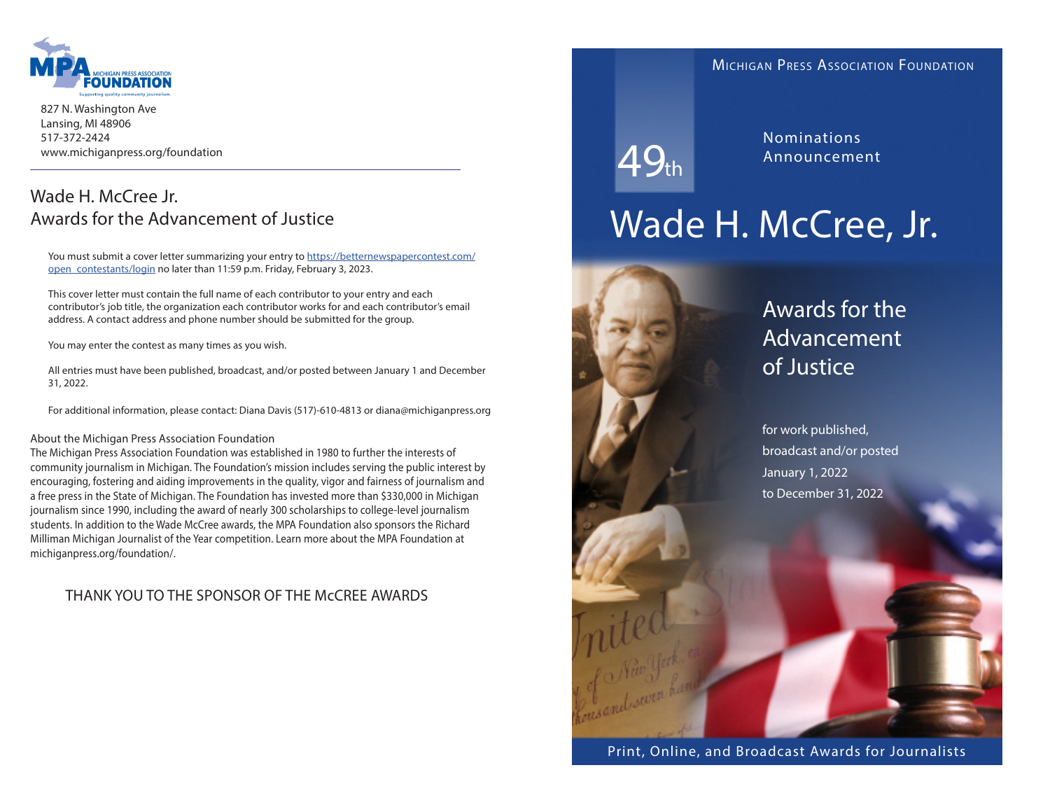

827 N. Washington Ave Lansing, MI 48906 517-372-2424 www.michiganpress.org/foundation

# Wade H. McCree Jr. Awards for the Advancement of Justice

You must submit a cover letter summarizing your entry to https://betternewspapercontest.com/ open\_contestants/login no later than 11:59 p.m. Friday, February 3, 2023.

This cover letter must contain the full name of each contributor to your entry and each contributor's job title, the organization each contributor works for and each contributor's email address. A contact address and phone number should be submitted for the group.

You may enter the contest as many times as you wish.

All entries must have been published, broadcast, and/or posted between January 1 and December 31, 2022.

For additional information, please contact: Diana Davis (517)-610-4813 or diana@michiganpress.org

#### About the Michigan Press Association Foundation

The Michigan Press Association Foundation was established in 1980 to further the interests of community journalism in Michigan. The Foundation's mission includes serving the public interest by encouraging, fostering and aiding improvements in the quality, vigor and fairness of journalism and a free press in the State of Michigan. The Foundation has invested more than \$330,000 in Michigan journalism since 1990, including the award of nearly 300 scholarships to college-level journalism students. In addition to the Wade McCree awards, the MPA Foundation also sponsors the Richard Milliman Michigan Journalist of the Year competition. Learn more about the MPA Foundation at michiganpress.org/foundation/.

## THANK YOU TO THE SPONSOR OF THE McCREE AWARDS

### Michigan Press Association Foundation

 $49<sub>th</sub>$ 

Nominations Announcement

# Wade H. McCree, Jr.



# Awards for the Advancement of Justice

for work published, broadcast and/or posted January 1, 2022 to December 31, 2022